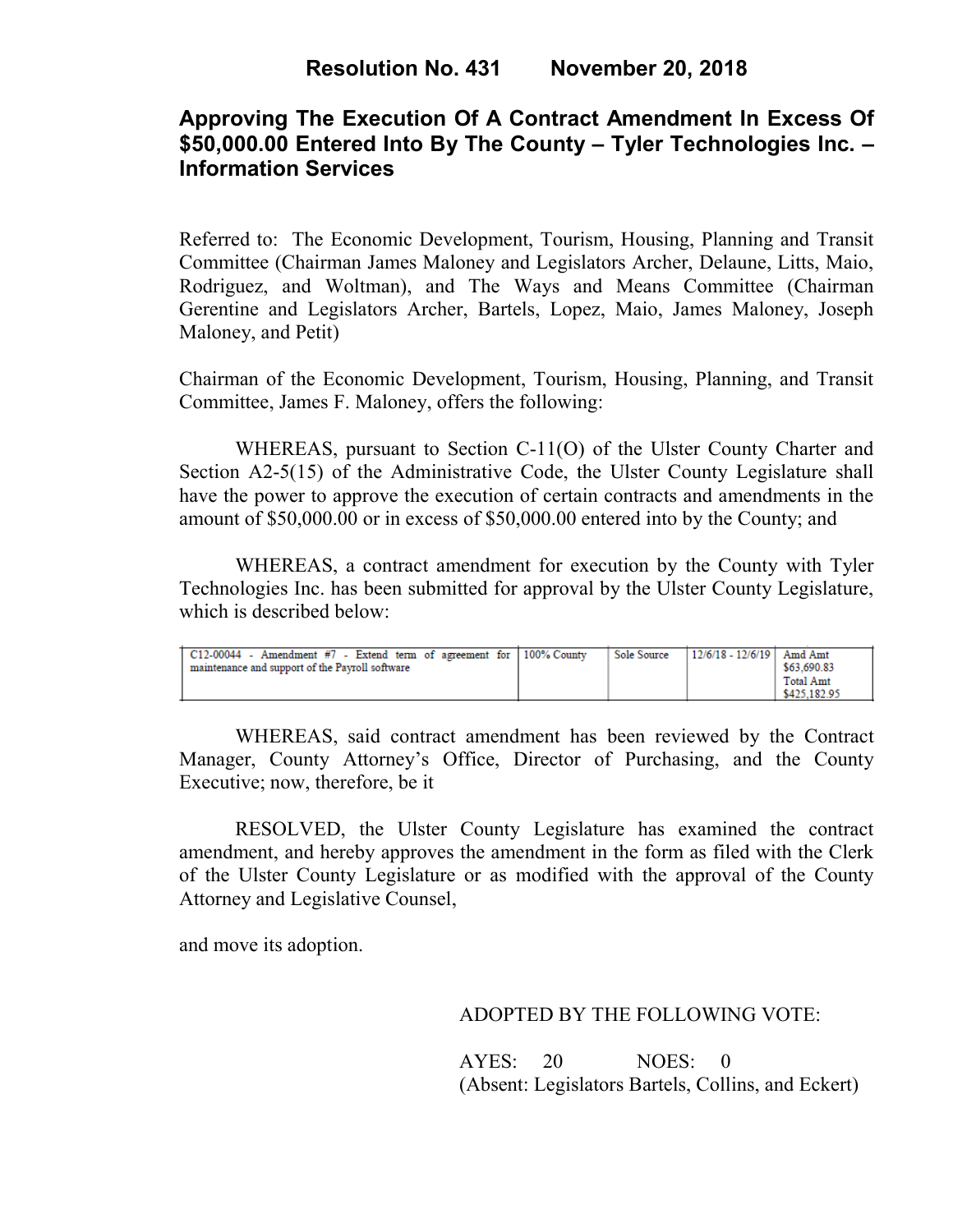# **Approving The Execution Of A Contract Amendment In Excess Of \$50,000.00 Entered Into By The County – Tyler Technologies Inc. – Information Services**

Referred to: The Economic Development, Tourism, Housing, Planning and Transit Committee (Chairman James Maloney and Legislators Archer, Delaune, Litts, Maio, Rodriguez, and Woltman), and The Ways and Means Committee (Chairman Gerentine and Legislators Archer, Bartels, Lopez, Maio, James Maloney, Joseph Maloney, and Petit)

Chairman of the Economic Development, Tourism, Housing, Planning, and Transit Committee, James F. Maloney, offers the following:

WHEREAS, pursuant to Section C-11(O) of the Ulster County Charter and Section A2-5(15) of the Administrative Code, the Ulster County Legislature shall have the power to approve the execution of certain contracts and amendments in the amount of \$50,000.00 or in excess of \$50,000.00 entered into by the County; and

WHEREAS, a contract amendment for execution by the County with Tyler Technologies Inc. has been submitted for approval by the Ulster County Legislature, which is described below:

| C12-00044 - Amendment #7 - Extend term of agreement for $\vert$ 100% County | Sole Source | 12/6/18 - 12/6/19   Amd Amt |              |
|-----------------------------------------------------------------------------|-------------|-----------------------------|--------------|
| maintenance and support of the Payroll software                             |             |                             | \$63,690.83  |
|                                                                             |             |                             | Total Amt    |
|                                                                             |             |                             | \$425,182.95 |

WHEREAS, said contract amendment has been reviewed by the Contract Manager, County Attorney's Office, Director of Purchasing, and the County Executive; now, therefore, be it

RESOLVED, the Ulster County Legislature has examined the contract amendment, and hereby approves the amendment in the form as filed with the Clerk of the Ulster County Legislature or as modified with the approval of the County Attorney and Legislative Counsel,

and move its adoption.

### ADOPTED BY THE FOLLOWING VOTE:

AYES: 20 NOES: 0 (Absent: Legislators Bartels, Collins, and Eckert)